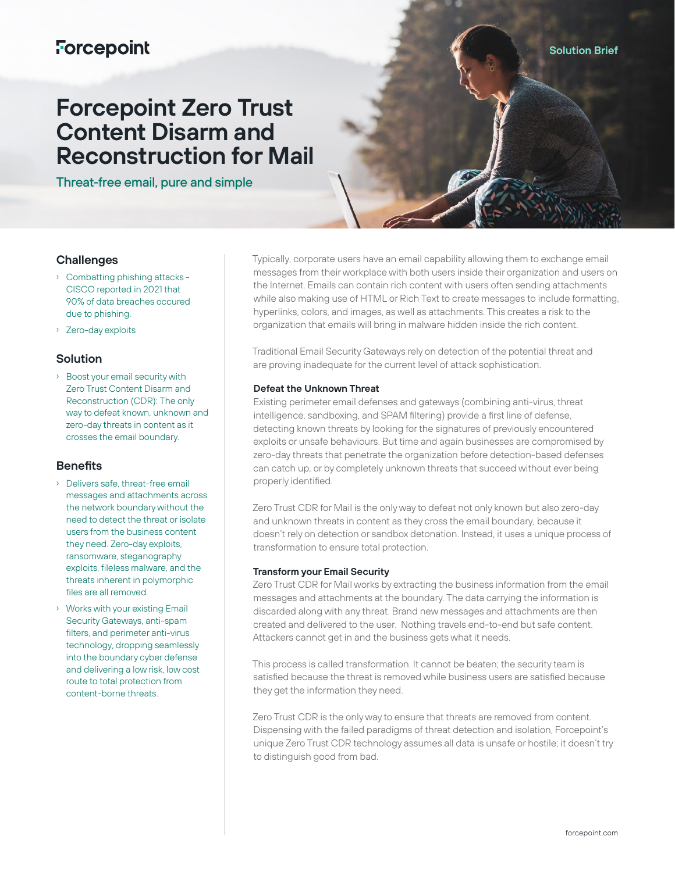## **Forcepoint**

# **Forcepoint Zero Trust Content Disarm and Reconstruction for Mail**

Threat-free email, pure and simple

## **Challenges**

- › Combatting phishing attacks CISCO reported in 2021 that 90% of data breaches occured due to phishing.
- › Zero-day exploits

## **Solution**

› Boost your email security with Zero Trust Content Disarm and Reconstruction (CDR): The only way to defeat known, unknown and zero-day threats in content as it crosses the email boundary.

## **Benefits**

- › Delivers safe, threat-free email messages and attachments across the network boundary without the need to detect the threat or isolate users from the business content they need. Zero-day exploits, ransomware, steganography exploits, fileless malware, and the threats inherent in polymorphic files are all removed.
- › Works with your existing Email Security Gateways, anti-spam filters, and perimeter anti-virus technology, dropping seamlessly into the boundary cyber defense and delivering a low risk, low cost route to total protection from content-borne threats.

Typically, corporate users have an email capability allowing them to exchange email messages from their workplace with both users inside their organization and users on the Internet. Emails can contain rich content with users often sending attachments while also making use of HTML or Rich Text to create messages to include formatting, hyperlinks, colors, and images, as well as attachments. This creates a risk to the organization that emails will bring in malware hidden inside the rich content.

Traditional Email Security Gateways rely on detection of the potential threat and are proving inadequate for the current level of attack sophistication.

#### **Defeat the Unknown Threat**

Existing perimeter email defenses and gateways (combining anti-virus, threat intelligence, sandboxing, and SPAM filtering) provide a first line of defense, detecting known threats by looking for the signatures of previously encountered exploits or unsafe behaviours. But time and again businesses are compromised by zero-day threats that penetrate the organization before detection-based defenses can catch up, or by completely unknown threats that succeed without ever being properly identified.

Zero Trust CDR for Mail is the only way to defeat not only known but also zero-day and unknown threats in content as they cross the email boundary, because it doesn't rely on detection or sandbox detonation. Instead, it uses a unique process of transformation to ensure total protection.

#### **Transform your Email Security**

Zero Trust CDR for Mail works by extracting the business information from the email messages and attachments at the boundary. The data carrying the information is discarded along with any threat. Brand new messages and attachments are then created and delivered to the user. Nothing travels end-to-end but safe content. Attackers cannot get in and the business gets what it needs.

This process is called transformation. It cannot be beaten; the security team is satisfied because the threat is removed while business users are satisfied because they get the information they need.

Zero Trust CDR is the only way to ensure that threats are removed from content. Dispensing with the failed paradigms of threat detection and isolation, Forcepoint's unique Zero Trust CDR technology assumes all data is unsafe or hostile; it doesn't try to distinguish good from bad.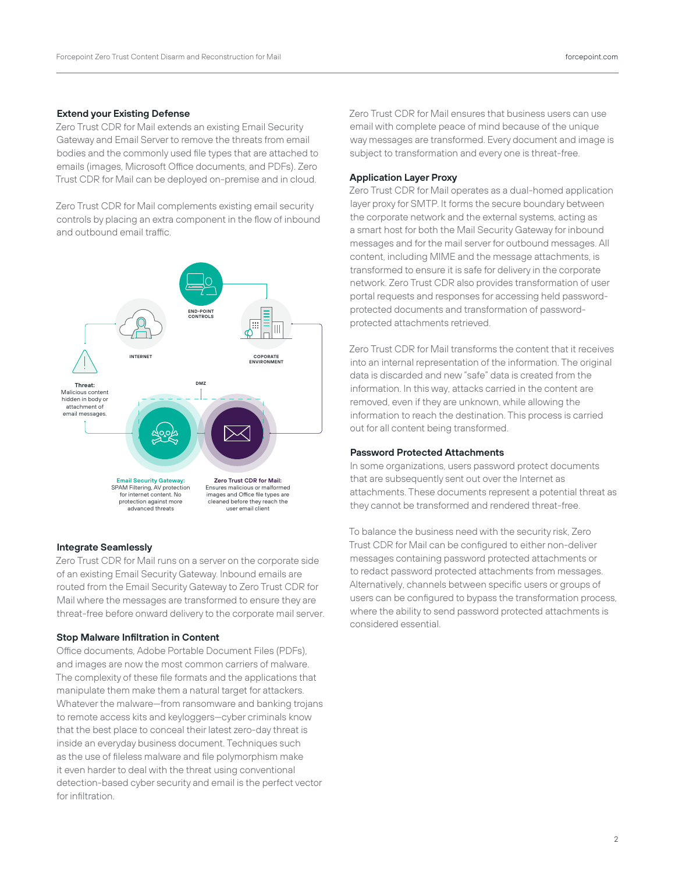## **Extend your Existing Defense**

Zero Trust CDR for Mail extends an existing Email Security Gateway and Email Server to remove the threats from email bodies and the commonly used file types that are attached to emails (images, Microsoft Office documents, and PDFs). Zero Trust CDR for Mail can be deployed on-premise and in cloud.

Zero Trust CDR for Mail complements existing email security controls by placing an extra component in the flow of inbound and outbound email traffic.



#### **Integrate Seamlessly**

Zero Trust CDR for Mail runs on a server on the corporate side of an existing Email Security Gateway. Inbound emails are routed from the Email Security Gateway to Zero Trust CDR for Mail where the messages are transformed to ensure they are threat-free before onward delivery to the corporate mail server.

#### **Stop Malware Infiltration in Content**

Office documents, Adobe Portable Document Files (PDFs), and images are now the most common carriers of malware. The complexity of these file formats and the applications that manipulate them make them a natural target for attackers. Whatever the malware—from ransomware and banking trojans to remote access kits and keyloggers—cyber criminals know that the best place to conceal their latest zero-day threat is inside an everyday business document. Techniques such as the use of fileless malware and file polymorphism make it even harder to deal with the threat using conventional detection-based cyber security and email is the perfect vector for infiltration.

Zero Trust CDR for Mail ensures that business users can use email with complete peace of mind because of the unique way messages are transformed. Every document and image is subject to transformation and every one is threat-free.

#### **Application Layer Proxy**

Zero Trust CDR for Mail operates as a dual-homed application layer proxy for SMTP. It forms the secure boundary between the corporate network and the external systems, acting as a smart host for both the Mail Security Gateway for inbound messages and for the mail server for outbound messages. All content, including MIME and the message attachments, is transformed to ensure it is safe for delivery in the corporate network. Zero Trust CDR also provides transformation of user portal requests and responses for accessing held passwordprotected documents and transformation of passwordprotected attachments retrieved.

Zero Trust CDR for Mail transforms the content that it receives into an internal representation of the information. The original data is discarded and new "safe" data is created from the information. In this way, attacks carried in the content are removed, even if they are unknown, while allowing the information to reach the destination. This process is carried out for all content being transformed.

#### **Password Protected Attachments**

In some organizations, users password protect documents that are subsequently sent out over the Internet as attachments. These documents represent a potential threat as they cannot be transformed and rendered threat-free.

To balance the business need with the security risk, Zero Trust CDR for Mail can be configured to either non-deliver messages containing password protected attachments or to redact password protected attachments from messages. Alternatively, channels between specific users or groups of users can be configured to bypass the transformation process, where the ability to send password protected attachments is considered essential.